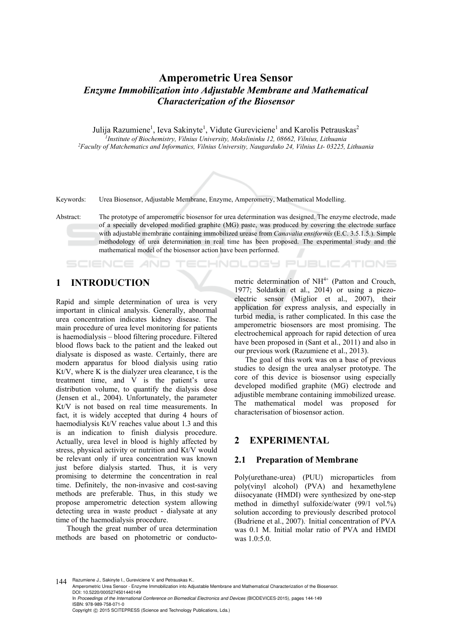# **Amperometric Urea Sensor**  *Enzyme Immobilization into Adjustable Membrane and Mathematical Characterization of the Biosensor*

Julija Razumiene<sup>1</sup>, Ieva Sakinyte<sup>1</sup>, Vidute Gureviciene<sup>1</sup> and Karolis Petrauskas<sup>2</sup> *1Institute of Biochemistry, Vilnius University, Mokslininku 12, 08662, Vilnius, Lithuania 2Faculty of Matchematics and Informatics, Vilnius University, Naugarduko 24, Vilnius Lt- 03225, Lithuania* 



Keywords: Urea Biosensor, Adjustable Membrane, Enzyme, Amperometry, Mathematical Modelling.

Abstract: The prototype of amperometric biosensor for urea determination was designed. The enzyme electrode, made of a specially developed modified graphite (MG) paste, was produced by covering the electrode surface with adjustable membrane containing immobilized urease from *Canavalia ensiformis* (E.C. 3.5.1.5.). Simple methodology of urea determination in real time has been proposed. The experimental study and the mathematical model of the biosensor action have been performed.

## **1 INTRODUCTION**

SCIENCE *A*ND

Rapid and simple determination of urea is very important in clinical analysis. Generally, abnormal urea concentration indicates kidney disease. The main procedure of urea level monitoring for patients is haemodialysis – blood filtering procedure. Filtered blood flows back to the patient and the leaked out dialysate is disposed as waste. Certainly, there are modern apparatus for blood dialysis using ratio Kt/V, where K is the dialyzer urea clearance, t is the treatment time, and  $\overline{V}$  is the patient's urea distribution volume, to quantify the dialysis dose (Jensen et al., 2004). Unfortunately, the parameter Kt/V is not based on real time measurements. In fact, it is widely accepted that during 4 hours of haemodialysis Kt/V reaches value about 1.3 and this is an indication to finish dialysis procedure. Actually, urea level in blood is highly affected by stress, physical activity or nutrition and Kt/V would be relevant only if urea concentration was known just before dialysis started. Thus, it is very promising to determine the concentration in real time. Definitely, the non-invasive and cost-saving methods are preferable. Thus, in this study we propose amperometric detection system allowing detecting urea in waste product - dialysate at any time of the haemodialysis procedure.

Though the great number of urea determination methods are based on photometric or conducto-

metric determination of NH<sup>4+</sup> (Patton and Crouch, 1977; Soldatkin et al., 2014) or using a piezoelectric sensor (Miglior et al., 2007), their application for express analysis, and especially in turbid media, is rather complicated. In this case the amperometric biosensors are most promising. The electrochemical approach for rapid detection of urea have been proposed in (Sant et al., 2011) and also in our previous work (Razumiene et al., 2013).

**ECHNOLOGY PUBLICATIONS** 

The goal of this work was on a base of previous studies to design the urea analyser prototype. The core of this device is biosensor using especially developed modified graphite (MG) electrode and adjustible membrane containing immobilized urease. The mathematical model was proposed for characterisation of biosensor action.

## **2 EXPERIMENTAL**

#### **2.1 Preparation of Membrane**

Poly(urethane-urea) (PUU) microparticles from poly(vinyl alcohol) (PVA) and hexamethylene diisocyanate (HMDI) were synthesized by one-step method in dimethyl sulfoxide/water (99/1 vol.%) solution according to previously described protocol (Budriene et al., 2007). Initial concentration of PVA was 0.1 M. Initial molar ratio of PVA and HMDI was 1.0:5.0.

144 Razumiene J., Sakinyte I., Gureviciene V. and Petrauskas K.

Amperometric Urea Sensor - Enzyme Immobilization into Adjustable Membrane and Mathematical Characterization of the Biosensor. DOI: 10.5220/0005274501440149

In *Proceedings of the International Conference on Biomedical Electronics and Devices* (BIODEVICES-2015), pages 144-149 ISBN: 978-989-758-071-0

Copyright © 2015 SCITEPRESS (Science and Technology Publications, Lda.)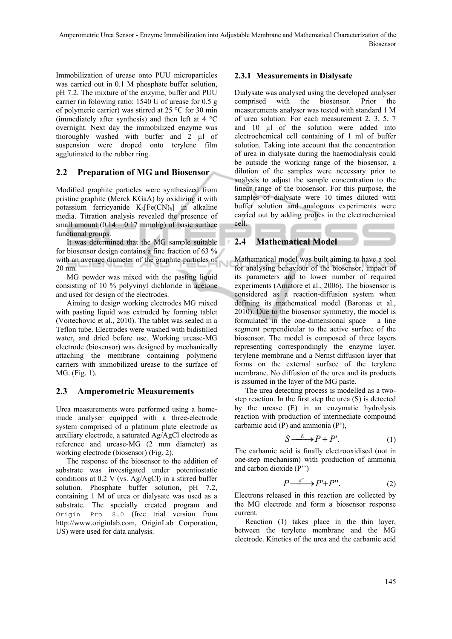Immobilization of urease onto PUU microparticles was carried out in 0.1 M phosphate buffer solution, pH 7.2. The mixture of the enzyme, buffer and PUU carrier (in folowing ratio: 1540 U of urease for 0.5 g of polymeric carrier) was stirred at 25 °C for 30 min (immediately after synthesis) and then left at 4 °C overnight. Next day the immobilized enzyme was thoroughly washed with buffer and 2 µl of suspension were droped onto terylene film agglutinated to the rubber ring.

## **2.2 Preparation of MG and Biosensor**

Modified graphite particles were synthesized from pristine graphite (Merck KGaA) by oxidizing it with potassium ferricyanide  $K_3[Fe(CN)_6]$  in alkaline media. Titration analysis revealed the presence of small amount  $(0.14 - 0.17 \text{ mmol/g})$  of basic surface functional groups.

It was determined that the MG sample suitable for biosensor design contains a fine fraction of 63 % with an average diameter of the graphite particles of 20 nm.

MG powder was mixed with the pasting liquid consisting of 10 % polyvinyl dichloride in acetone and used for design of the electrodes.

Aiming to design working electrodes MG mixed with pasting liquid was extruded by forming tablet (Voitechovic et al., 2010). The tablet was sealed in a Teflon tube. Electrodes were washed with bidistilled water, and dried before use. Working urease-MG electrode (biosensor) was designed by mechanically attaching the membrane containing polymeric carriers with immobilized urease to the surface of MG. (Fig. 1).

## **2.3 Amperometric Measurements**

Urea measurements were performed using a homemade analyser equipped with a three-electrode system comprised of a platinum plate electrode as auxiliary electrode, a saturated Ag/AgCl electrode as reference and urease-MG (2 mm diameter) as working electrode (biosensor) (Fig. 2).

The response of the biosensor to the addition of substrate was investigated under potentiostatic conditions at 0.2 V (vs. Ag/AgCl) in a stirred buffer solution. Phosphate buffer solution, pH 7.2, containing 1 M of urea or dialysate was used as a substrate. The specially created program and Origin Pro 8.0 (free trial version from http://www.originlab.com, OriginLab Corporation, US) were used for data analysis.

## **2.3.1 Measurements in Dialysate**

Dialysate was analysed using the developed analyser comprised with the biosensor. Prior the measurements analyser was tested with standard 1 M of urea solution. For each measurement 2, 3, 5, 7 and 10 µl of the solution were added into electrochemical cell containing of 1 ml of buffer solution. Taking into account that the concentration of urea in dialysate during the haemodialysis could be outside the working range of the biosensor, a dilution of the samples were necessary prior to analysis to adjust the sample concentration to the linear range of the biosensor. For this purpose, the samples of dialysate were 10 times diluted with buffer solution and analogous experiments were carried out by adding probes in the electrochemical cell.

## **2.4 Mathematical Model**

Mathematical model was built aiming to have a tool for analysing behaviour of the biosensor, impact of its parameters and to lower number of required experiments (Amatore et al., 2006). The biosensor is considered as a reaction-diffusion system when defining its mathematical model (Baronas et al., 2010). Due to the biosensor symmetry, the model is formulated in the one-dimensional space – a line segment perpendicular to the active surface of the biosensor. The model is composed of three layers representing correspondingly the enzyme layer, terylene membrane and a Nernst diffusion layer that forms on the external surface of the terylene membrane. No diffusion of the urea and its products is assumed in the layer of the MG paste.

The urea detecting process is modelled as a twostep reaction. In the first step the urea (S) is detected by the urease (E) in an enzymatic hydrolysis reaction with production of intermediate compound carbamic acid (P) and ammonia (P'),

$$
S \xrightarrow{E} P + P'. \tag{1}
$$

The carbamic acid is finally electrooxidised (not in one-step mechanism) with production of ammonia and carbon dioxide (P'')

$$
P \xrightarrow{e^-} P' + P''.
$$
 (2)

Electrons released in this reaction are collected by the MG electrode and form a biosensor response current.

Reaction (1) takes place in the thin layer, between the terylene membrane and the MG electrode. Kinetics of the urea and the carbamic acid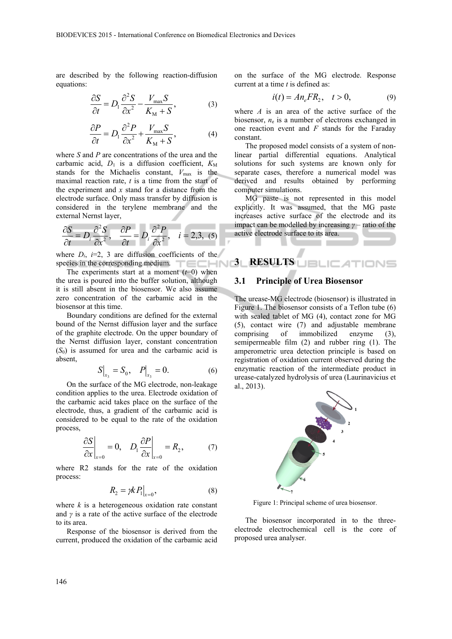are described by the following reaction-diffusion equations:

$$
\frac{\partial S}{\partial t} = D_1 \frac{\partial^2 S}{\partial x^2} - \frac{V_{\text{max}} S}{K_{\text{M}} + S},
$$
(3)

$$
\frac{\partial P}{\partial t} = D_1 \frac{\partial^2 P}{\partial x^2} + \frac{V_{\text{max}} S}{K_{\text{M}} + S},
$$
(4)

where *S* and *P* are concentrations of the urea and the carbamic acid,  $D_1$  is a diffusion coefficient,  $K_M$ stands for the Michaelis constant,  $V_{\text{max}}$  is the maximal reaction rate, *t* is a time from the start of the experiment and *x* stand for a distance from the electrode surface. Only mass transfer by diffusion is considered in the terylene membrane and the external Nernst layer,

$$
\frac{\partial S}{\partial t} = D_i \frac{\partial^2 S}{\partial x^2}, \quad \frac{\partial P}{\partial t} = D_i \frac{\partial^2 P}{\partial x^2}, \quad i = 2, 3, \tag{5}
$$

where  $D_i$ ,  $i=2$ , 3 are diffusion coefficients of the species in the corresponding medium. **3 RESULTS** 

The experiments start at a moment  $(t=0)$  when the urea is poured into the buffer solution, although it is still absent in the biosensor. We also assume zero concentration of the carbamic acid in the biosensor at this time.

Boundary conditions are defined for the external bound of the Nernst diffusion layer and the surface of the graphite electrode. On the upper boundary of the Nernst diffusion layer, constant concentration  $(S_0)$  is assumed for urea and the carbamic acid is absent,

$$
S\big|_{x_3} = S_0, \quad P\big|_{x_3} = 0. \tag{6}
$$

On the surface of the MG electrode, non-leakage condition applies to the urea. Electrode oxidation of the carbamic acid takes place on the surface of the electrode, thus, a gradient of the carbamic acid is considered to be equal to the rate of the oxidation process,

$$
\left. \frac{\partial S}{\partial x} \right|_{x=0} = 0, \quad D_1 \frac{\partial P}{\partial x} \bigg|_{x=0} = R_2, \tag{7}
$$

where R2 stands for the rate of the oxidation process:

$$
R_2 = \mathcal{W}P_1\big|_{x=0},\tag{8}
$$

where  $k$  is a heterogeneous oxidation rate constant and *γ* is a rate of the active surface of the electrode to its area.

Response of the biosensor is derived from the current, produced the oxidation of the carbamic acid

on the surface of the MG electrode. Response current at a time *t* is defined as:

$$
i(t) = An_e FR_2, \quad t > 0,
$$
 (9)

where *A* is an area of the active surface of the biosensor, *n*e is a number of electrons exchanged in one reaction event and *F* stands for the Faraday constant.

The proposed model consists of a system of nonlinear partial differential equations. Analytical solutions for such systems are known only for separate cases, therefore a numerical model was derived and results obtained by performing computer simulations.

MG paste is not represented in this model explicitly. It was assumed, that the MG paste increases active surface of the electrode and its impact can be modelled by increasing *γ* – ratio of the active electrode surface to its area.

#### **3.1 Principle of Urea Biosensor**

The urease-MG electrode (biosensor) is illustrated in Figure 1. The biosensor consists of a Teflon tube (6) with sealed tablet of MG (4), contact zone for MG (5), contact wire (7) and adjustable membrane comprising of immobilized enzyme (3), semipermeable film (2) and rubber ring (1). The amperometric urea detection principle is based on registration of oxidation current observed during the enzymatic reaction of the intermediate product in urease-catalyzed hydrolysis of urea (Laurinavicius et al., 2013).



Figure 1: Principal scheme of urea biosensor.

The biosensor incorporated in to the threeelectrode electrochemical cell is the core of proposed urea analyser.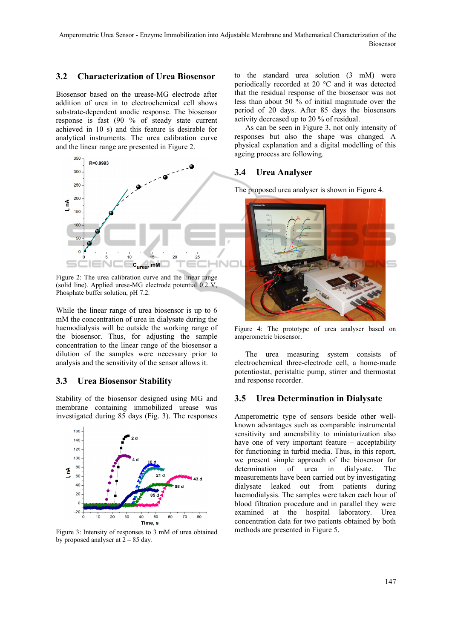#### **3.2 Characterization of Urea Biosensor**

Biosensor based on the urease-MG electrode after addition of urea in to electrochemical cell shows substrate-dependent anodic response. The biosensor response is fast (90 % of steady state current achieved in 10 s) and this feature is desirable for analytical instruments. The urea calibration curve and the linear range are presented in Figure 2.



Figure 2: The urea calibration curve and the linear range (solid line). Applied urese-MG electrode potential 0.2 V, Phosphate buffer solution, pH 7.2.

While the linear range of urea biosensor is up to 6 mM the concentration of urea in dialysate during the haemodialysis will be outside the working range of the biosensor. Thus, for adjusting the sample concentration to the linear range of the biosensor a dilution of the samples were necessary prior to analysis and the sensitivity of the sensor allows it.

### **3.3 Urea Biosensor Stability**

Stability of the biosensor designed using MG and membrane containing immobilized urease was investigated during 85 days (Fig. 3). The responses



Figure 3: Intensity of responses to 3 mM of urea obtained by proposed analyser at  $2 - 85$  day.

to the standard urea solution (3 mM) were periodically recorded at 20 °C and it was detected that the residual response of the biosensor was not less than about 50 % of initial magnitude over the period of 20 days. After 85 days the biosensors activity decreased up to 20 % of residual.

As can be seen in Figure 3, not only intensity of responses but also the shape was changed. A physical explanation and a digital modelling of this ageing process are following.

#### **3.4 Urea Analyser**

The proposed urea analyser is shown in Figure 4.



Figure 4: The prototype of urea analyser based on amperometric biosensor.

The urea measuring system consists of electrochemical three-electrode cell, a home-made potentiostat, peristaltic pump, stirrer and thermostat and response recorder.

#### **3.5 Urea Determination in Dialysate**

Amperometric type of sensors beside other wellknown advantages such as comparable instrumental sensitivity and amenability to miniaturization also have one of very important feature – acceptability for functioning in turbid media. Thus, in this report, we present simple approach of the biosensor for determination of urea in dialysate. The measurements have been carried out by investigating dialysate leaked out from patients during haemodialysis. The samples were taken each hour of blood filtration procedure and in parallel they were examined at the hospital laboratory. Urea concentration data for two patients obtained by both methods are presented in Figure 5.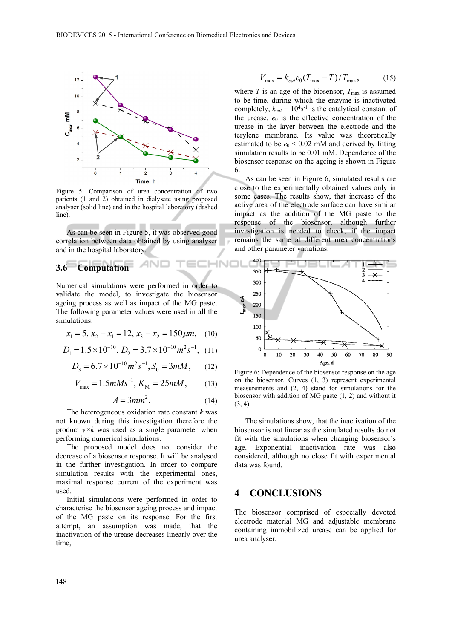

Figure 5: Comparison of urea concentration of two patients (1 and 2) obtained in dialysate using proposed analyser (solid line) and in the hospital laboratory (dashed line).

As can be seen in Figure 5, it was observed good correlation between data obtained by using analyser and in the hospital laboratory.

# **3.6 Computation**

Numerical simulations were performed in order to validate the model, to investigate the biosensor ageing process as well as impact of the MG paste. The following parameter values were used in all the simulations:

$$
x_1 = 5, x_2 - x_1 = 12, x_3 - x_2 = 150 \,\mu m, \quad (10)
$$

$$
D_1 = 1.5 \times 10^{-10}, D_2 = 3.7 \times 10^{-10} m^2 s^{-1}, (11)
$$

$$
D_3 = 6.7 \times 10^{-10} m^2 s^{-1}, S_0 = 3mM, \qquad (12)
$$

$$
V_{\text{max}} = 1.5 \, m \, M s^{-1}, \, K_{\text{M}} = 25 \, m \, M, \tag{13}
$$

$$
A = 3mm^2. \tag{14}
$$

INI

The heterogeneous oxidation rate constant *k* was not known during this investigation therefore the product *γ×k* was used as a single parameter when performing numerical simulations.

The proposed model does not consider the decrease of a biosensor response. It will be analysed in the further investigation. In order to compare simulation results with the experimental ones, maximal response current of the experiment was used.

Initial simulations were performed in order to characterise the biosensor ageing process and impact of the MG paste on its response. For the first attempt, an assumption was made, that the inactivation of the urease decreases linearly over the time,

$$
V_{\text{max}} = k_{cat} e_0 (T_{\text{max}} - T) / T_{\text{max}}, \tag{15}
$$

where  $T$  is an age of the biosensor,  $T_{\text{max}}$  is assumed to be time, during which the enzyme is inactivated completely,  $k_{cat} = 10^4 s^{-1}$  is the catalytical constant of the urease,  $e_0$  is the effective concentration of the urease in the layer between the electrode and the terylene membrane. Its value was theoretically estimated to be  $e_0 < 0.02$  mM and derived by fitting simulation results to be 0.01 mM. Dependence of the biosensor response on the ageing is shown in Figure 6.

As can be seen in Figure 6, simulated results are close to the experimentally obtained values only in some cases. The results show, that increase of the active area of the electrode surface can have similar impact as the addition of the MG paste to the response of the biosensor, although further investigation is needed to check, if the impact remains the same at different urea concentrations and other parameter variations.



Figure 6: Dependence of the biosensor response on the age on the biosensor. Curves (1, 3) represent experimental measurements and (2, 4) stand for simulations for the biosensor with addition of MG paste (1, 2) and without it (3, 4).

The simulations show, that the inactivation of the biosensor is not linear as the simulated results do not fit with the simulations when changing biosensor's age. Exponential inactivation rate was also considered, although no close fit with experimental data was found.

## **4 CONCLUSIONS**

The biosensor comprised of especially devoted electrode material MG and adjustable membrane containing immobilized urease can be applied for urea analyser.